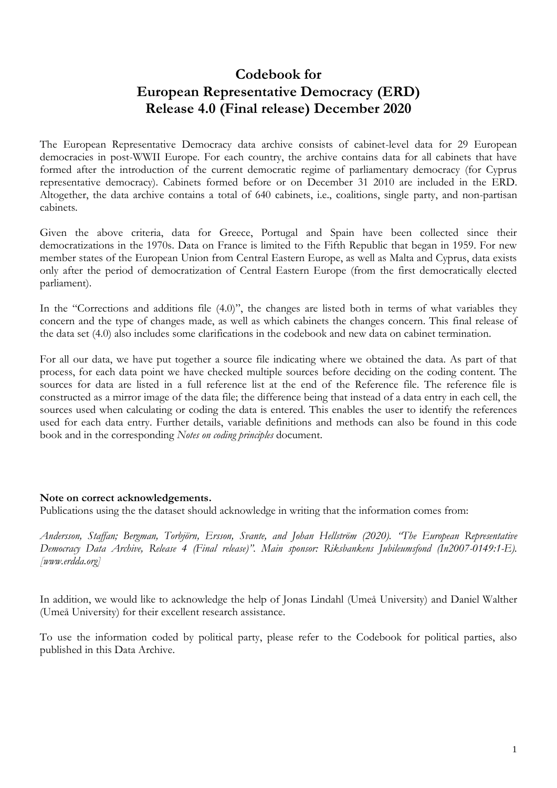# **Codebook for European Representative Democracy (ERD) Release 4.0 (Final release) December 2020**

The European Representative Democracy data archive consists of cabinet-level data for 29 European democracies in post-WWII Europe. For each country, the archive contains data for all cabinets that have formed after the introduction of the current democratic regime of parliamentary democracy (for Cyprus representative democracy). Cabinets formed before or on December 31 2010 are included in the ERD. Altogether, the data archive contains a total of 640 cabinets, i.e., coalitions, single party, and non-partisan cabinets.

Given the above criteria, data for Greece, Portugal and Spain have been collected since their democratizations in the 1970s. Data on France is limited to the Fifth Republic that began in 1959. For new member states of the European Union from Central Eastern Europe, as well as Malta and Cyprus, data exists only after the period of democratization of Central Eastern Europe (from the first democratically elected parliament).

In the "Corrections and additions file (4.0)", the changes are listed both in terms of what variables they concern and the type of changes made, as well as which cabinets the changes concern. This final release of the data set (4.0) also includes some clarifications in the codebook and new data on cabinet termination.

For all our data, we have put together a source file indicating where we obtained the data. As part of that process, for each data point we have checked multiple sources before deciding on the coding content. The sources for data are listed in a full reference list at the end of the Reference file. The reference file is constructed as a mirror image of the data file; the difference being that instead of a data entry in each cell, the sources used when calculating or coding the data is entered. This enables the user to identify the references used for each data entry. Further details, variable definitions and methods can also be found in this code book and in the corresponding *Notes on coding principles* document.

## **Note on correct acknowledgements.**

Publications using the the dataset should acknowledge in writing that the information comes from:

*Andersson, Staffan; Bergman, Torbjörn, Ersson, Svante, and Johan Hellström (2020). "The European Representative Democracy Data Archive, Release 4 (Final release)". Main sponsor: Riksbankens Jubileumsfond (In2007-0149:1-E). [www.erdda.org]*

In addition, we would like to acknowledge the help of Jonas Lindahl (Umeå University) and Daniel Walther (Umeå University) for their excellent research assistance.

To use the information coded by political party, please refer to the Codebook for political parties, also published in this Data Archive.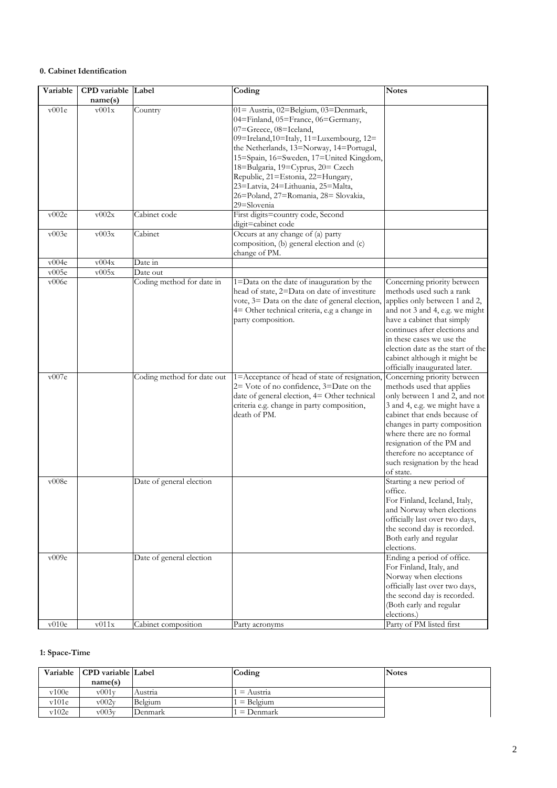#### **0. Cabinet Identification**

| Variable | CPD variable Label<br>name(s) |                            | Coding                                                                                                                                                                                                                                                                                                                                                                                                        | <b>Notes</b>                                                                                                                                                                                                                                                                                                                    |
|----------|-------------------------------|----------------------------|---------------------------------------------------------------------------------------------------------------------------------------------------------------------------------------------------------------------------------------------------------------------------------------------------------------------------------------------------------------------------------------------------------------|---------------------------------------------------------------------------------------------------------------------------------------------------------------------------------------------------------------------------------------------------------------------------------------------------------------------------------|
| v001e    | v001x                         | Country                    | 01= Austria, 02=Belgium, 03=Denmark,<br>04=Finland, 05=France, 06=Germany,<br>07=Greece, 08=Iceland,<br>09=Ireland,10=Italy, 11=Luxembourg, 12=<br>the Netherlands, 13=Norway, 14=Portugal,<br>15=Spain, 16=Sweden, 17=United Kingdom,<br>18=Bulgaria, 19=Cyprus, 20= Czech<br>Republic, 21=Estonia, 22=Hungary,<br>23=Latvia, 24=Lithuania, 25=Malta,<br>26=Poland, 27=Romania, 28= Slovakia,<br>29=Slovenia |                                                                                                                                                                                                                                                                                                                                 |
| v002e    | v002x                         | Cabinet code               | First digits=country code, Second<br>digit=cabinet code                                                                                                                                                                                                                                                                                                                                                       |                                                                                                                                                                                                                                                                                                                                 |
| v003e    | v003x                         | Cabinet                    | Occurs at any change of (a) party<br>composition, (b) general election and (c)<br>change of PM.                                                                                                                                                                                                                                                                                                               |                                                                                                                                                                                                                                                                                                                                 |
| v004e    | v004x                         | Date in                    |                                                                                                                                                                                                                                                                                                                                                                                                               |                                                                                                                                                                                                                                                                                                                                 |
| v005e    | v005x                         | Date out                   |                                                                                                                                                                                                                                                                                                                                                                                                               |                                                                                                                                                                                                                                                                                                                                 |
| v006e    |                               | Coding method for date in  | 1=Data on the date of inauguration by the<br>head of state, 2=Data on date of investiture<br>vote, 3= Data on the date of general election,<br>4= Other technical criteria, e.g a change in<br>party composition.                                                                                                                                                                                             | Concerning priority between<br>methods used such a rank<br>applies only between 1 and 2,<br>and not 3 and 4, e.g. we might<br>have a cabinet that simply<br>continues after elections and<br>in these cases we use the<br>election date as the start of the<br>cabinet although it might be<br>officially inaugurated later.    |
| v007e    |                               | Coding method for date out | 1=Acceptance of head of state of resignation,<br>2= Vote of no confidence, 3=Date on the<br>date of general election, 4= Other technical<br>criteria e.g. change in party composition,<br>death of PM.                                                                                                                                                                                                        | Concerning priority between<br>methods used that applies<br>only between 1 and 2, and not<br>3 and 4, e.g. we might have a<br>cabinet that ends because of<br>changes in party composition<br>where there are no formal<br>resignation of the PM and<br>therefore no acceptance of<br>such resignation by the head<br>of state. |
| v008e    |                               | Date of general election   |                                                                                                                                                                                                                                                                                                                                                                                                               | Starting a new period of<br>office.<br>For Finland, Iceland, Italy,<br>and Norway when elections<br>officially last over two days,<br>the second day is recorded.<br>Both early and regular<br>elections.                                                                                                                       |
| v009e    |                               | Date of general election   |                                                                                                                                                                                                                                                                                                                                                                                                               | Ending a period of office.<br>For Finland, Italy, and<br>Norway when elections<br>officially last over two days,<br>the second day is recorded.<br>(Both early and regular<br>elections.)                                                                                                                                       |
| v010e    | $\rm v011x$                   | Cabinet composition        | Party acronyms                                                                                                                                                                                                                                                                                                                                                                                                | Party of PM listed first                                                                                                                                                                                                                                                                                                        |

## **1: Space-Time**

| Variable | <b>CPD</b> variable Label |         | Coding         | <b>Notes</b> |
|----------|---------------------------|---------|----------------|--------------|
|          | name(s)                   |         |                |              |
| v100e    | $\mathrm{v}001\mathrm{v}$ | Austria | $=$ Austria    |              |
| v101e    | v002v                     | Belgium | Belgium<br>$=$ |              |
| v102e    | $\rm v003v$               | Denmark | Denmark<br>$=$ |              |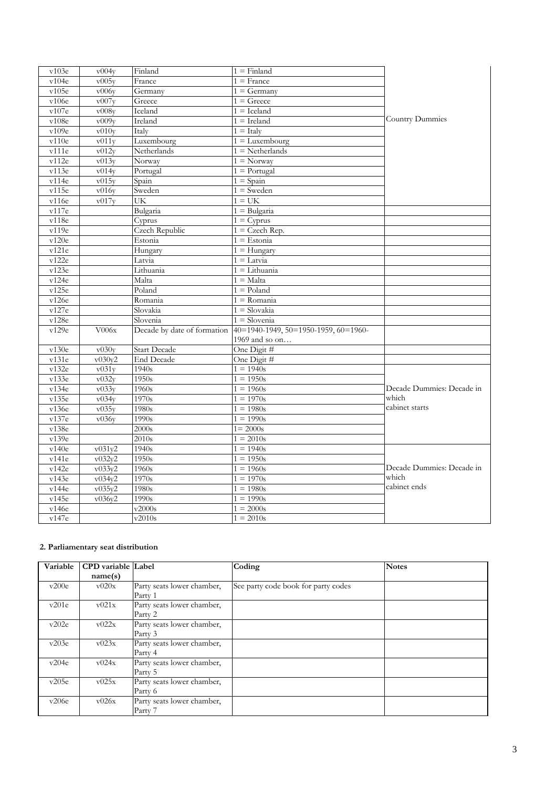| v103e | v004v               | Finland               | $1 =$ Finland                                                    |                           |
|-------|---------------------|-----------------------|------------------------------------------------------------------|---------------------------|
| v104e | v005y               | France                | $1 =$ France                                                     |                           |
| v105e | v006y               | Germany               | $1 = \text{Germany}$                                             |                           |
| v106e | $\overline{v007y}$  | Greece                | $1 =$ Greece                                                     |                           |
| v107e | v008v               | Iceland               | $1 =$ Iceland                                                    |                           |
| v108e | v009v               | Ireland               | $1 =$ Ireland                                                    | Country Dummies           |
| v109e | v010y               | Italy                 | $1 =$ Italy                                                      |                           |
| v110e | v011v               | Luxembourg            | $1 =$ Luxembourg                                                 |                           |
| v111e | v012y               | Netherlands           | $1 = \text{Netherlands}$                                         |                           |
| v112e | v013v               | Norway                | $1 = \text{Norway}$                                              |                           |
| v113e | v014y               | Portugal              | $1 =$ Portugal                                                   |                           |
| v114e | v015y               | Spain                 | $1 =$ Spain                                                      |                           |
| v115e | v016y               | Sweden                | $1 =$ Sweden                                                     |                           |
| v116e | v017y               | UK                    | $1 = UK$                                                         |                           |
| v117e |                     | Bulgaria              | $1 =$ Bulgaria                                                   |                           |
| v118e |                     | Cyprus                | $1 = \text{Cyprus}$                                              |                           |
| v119e |                     | <b>Czech Republic</b> | $1 = C$ zech Rep.                                                |                           |
| v120e |                     | Estonia               | $1 =$ Estonia                                                    |                           |
| v121e |                     | Hungary               | $1 =$ Hungary                                                    |                           |
| v122e |                     | Latvia                | $\overline{1} =$ Latvia                                          |                           |
| v123e |                     | Lithuania             | $1 =$ Lithuania                                                  |                           |
| v124e |                     | Malta                 | $1 = \text{Malta}$                                               |                           |
| v125e |                     | Poland                | $1 =$ Poland                                                     |                           |
| v126e |                     | Romania               | $1 =$ Romania                                                    |                           |
| v127e |                     | Slovakia              | $1 =$ Slovakia                                                   |                           |
| v128e |                     | Slovenia              | $1 =$ Slovenia                                                   |                           |
| v129e | V006x               |                       | Decade by date of formation 40=1940-1949, 50=1950-1959, 60=1960- |                           |
|       |                     |                       | 1969 and so on                                                   |                           |
| v130e | $\overline{v030}$ y | <b>Start Decade</b>   | One Digit #                                                      |                           |
| v131e | v030v2              | <b>End Decade</b>     | One Digit #                                                      |                           |
| v132e | v031y               | 1940s                 | $1 = 1940s$                                                      |                           |
| v133e | v032y               | 1950s                 | $1 = 1950s$                                                      |                           |
| v134e | v033y               | 1960s                 | $1 = 1960s$                                                      | Decade Dummies: Decade in |
| v135e | v034y               | 1970s                 | $1 = 1970s$                                                      | which                     |
| v136e | v035v               | 1980s                 | $1 = 1980s$                                                      | cabinet starts            |
| v137e | v036y               | 1990s                 | $1 = 1990s$                                                      |                           |
| v138e |                     | 2000s                 | $1 = 2000s$                                                      |                           |
| v139e |                     | 2010s                 | $1 = 2010s$                                                      |                           |
| v140e | v031v2              | 1940s                 | $1 = 1940s$                                                      |                           |
| v141e | v032y2              | 1950s                 | $1 = 1950s$                                                      |                           |
| v142e | v033v2              | 1960s                 | $1 = 1960s$                                                      | Decade Dummies: Decade in |
| v143e | v034y2              | 1970s                 | $1 = 1970s$                                                      | which                     |
| v144e | v035y2              | 1980s                 | $1 = 1980s$                                                      | cabinet ends              |
| v145e | v036v2              | 1990s                 | $1 = 1990s$                                                      |                           |
| v146e |                     | v2000s                | $1 = 2000s$                                                      |                           |
| v147e |                     | v2010s                | $1 = 2010s$                                                      |                           |

#### **2. Parliamentary seat distribution**

| Variable | <b>CPD</b> variable Label |                            | Coding                              | <b>Notes</b> |
|----------|---------------------------|----------------------------|-------------------------------------|--------------|
|          | name(s)                   |                            |                                     |              |
| v200e    | v020x                     | Party seats lower chamber, | See party code book for party codes |              |
|          |                           | Party 1                    |                                     |              |
| v201e    | v021x                     | Party seats lower chamber, |                                     |              |
|          |                           | Party 2                    |                                     |              |
| v202e    | v022x                     | Party seats lower chamber, |                                     |              |
|          |                           | Party 3                    |                                     |              |
| v203e    | v023x                     | Party seats lower chamber, |                                     |              |
|          |                           | Party 4                    |                                     |              |
| v204e    | v024x                     | Party seats lower chamber, |                                     |              |
|          |                           | Party 5                    |                                     |              |
| v205e    | v025x                     | Party seats lower chamber, |                                     |              |
|          |                           | Party 6                    |                                     |              |
| v206e    | v026x                     | Party seats lower chamber, |                                     |              |
|          |                           | Party 7                    |                                     |              |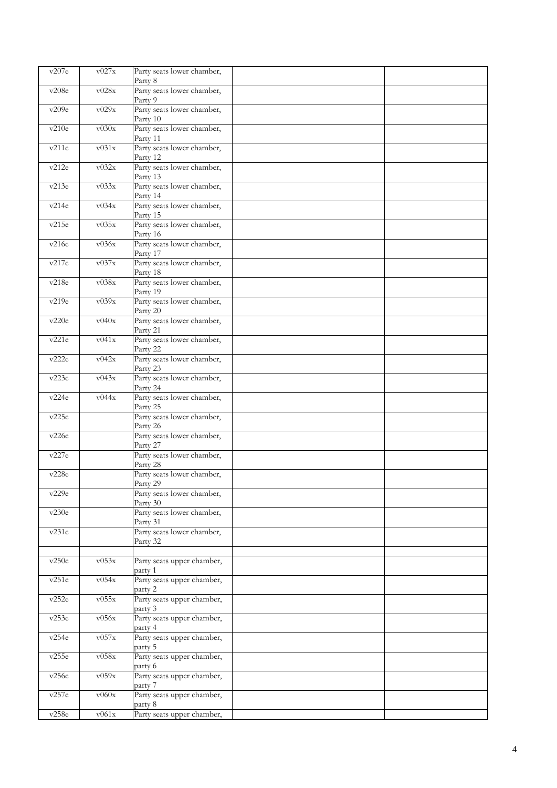| v207e | v027x       | Party seats lower chamber,<br>Party 8            |  |
|-------|-------------|--------------------------------------------------|--|
| v208e | v028x       | Party seats lower chamber,<br>Party 9            |  |
| v209e | v029x       | Party seats lower chamber,<br>Party 10           |  |
| v210e | v030x       | Party seats lower chamber,<br>Party 11           |  |
| v211e | v031x       | Party seats lower chamber,<br>Party 12           |  |
| v212e | v032x       | Party seats lower chamber,<br>Party 13           |  |
| v213e | v033x       | Party seats lower chamber,<br>Party 14           |  |
| v214e | v034x       | Party seats lower chamber,<br>Party 15           |  |
| v215e | v035x       | Party seats lower chamber,<br>Party 16           |  |
| v216e | v036x       | Party seats lower chamber,<br>Party 17           |  |
| v217e | v037x       | Party seats lower chamber,<br>Party 18           |  |
| v218e | v038x       | Party seats lower chamber,<br>Party 19           |  |
| v219e | v039x       | Party seats lower chamber,<br>Party 20           |  |
| v220e | v040x       | Party seats lower chamber,<br>Party 21           |  |
| v221e | v041x       | Party seats lower chamber,<br>Party 22           |  |
| v222e | v042x       | Party seats lower chamber,<br>Party 23           |  |
| v223e | v043x       | Party seats lower chamber,<br>Party 24           |  |
| v224e | v044x       | Party seats lower chamber,<br>Party 25           |  |
| v225e |             | Party seats lower chamber,<br>Party 26           |  |
| v226e |             | Party seats lower chamber,<br>Party 27           |  |
| v227e |             | Party seats lower chamber,<br>Party 28           |  |
| v228e |             | Party seats lower chamber,<br>Party 29           |  |
| v229e |             | Party seats lower chamber,<br>Party 30           |  |
| v230e |             | Party seats lower chamber,<br>Party 31           |  |
| v231e |             | Party seats lower chamber,<br>Party 32           |  |
| v250e | v053x       | Party seats upper chamber,                       |  |
| v251e | v054x       | party 1<br>Party seats upper chamber,<br>party 2 |  |
| v252e | v055x       | Party seats upper chamber,<br>party 3            |  |
| v253e | v056x       | Party seats upper chamber,<br>party 4            |  |
| v254e | v057x       | Party seats upper chamber,<br>party 5            |  |
| v255e | v058x       | Party seats upper chamber,<br>party 6            |  |
| v256e | $\rm v059x$ | Party seats upper chamber,<br>party 7            |  |
| v257e | v060x       | Party seats upper chamber,<br>party 8            |  |
| v258e | $\rm v061x$ | Party seats upper chamber,                       |  |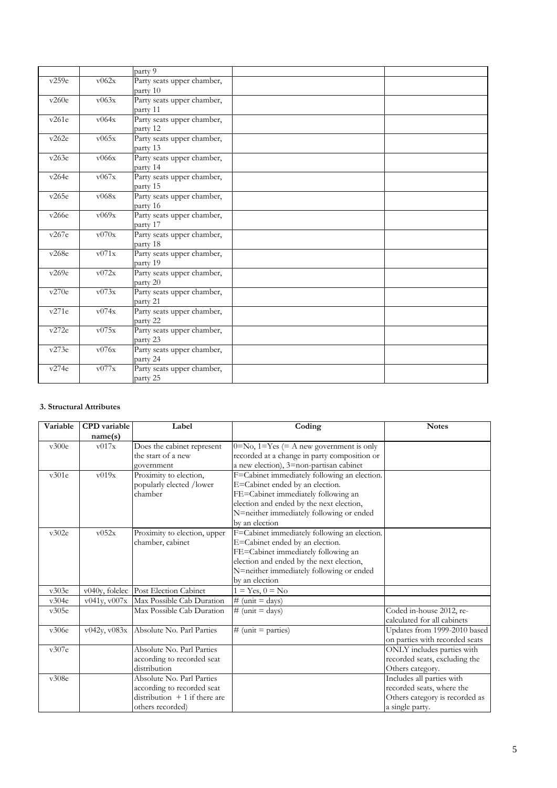|       |       | party $\overline{9}$       |  |
|-------|-------|----------------------------|--|
| v259e | v062x | Party seats upper chamber, |  |
|       |       | party 10                   |  |
| v260e | v063x | Party seats upper chamber, |  |
|       |       | party 11                   |  |
| v261e | v064x | Party seats upper chamber, |  |
|       |       | party 12                   |  |
| v262e | v065x | Party seats upper chamber, |  |
|       |       | party 13                   |  |
| v263e | v066x | Party seats upper chamber, |  |
|       |       | party 14                   |  |
| v264e | v067x | Party seats upper chamber, |  |
|       |       | party 15                   |  |
| v265e | v068x | Party seats upper chamber, |  |
|       |       | party 16                   |  |
| v266e | v069x | Party seats upper chamber, |  |
|       |       | party 17                   |  |
| v267e | v070x | Party seats upper chamber, |  |
|       |       | party 18                   |  |
| v268e | v071x | Party seats upper chamber, |  |
|       |       | party 19                   |  |
| v269e | v072x | Party seats upper chamber, |  |
|       |       | party 20                   |  |
| v270e | v073x | Party seats upper chamber, |  |
|       |       | party 21                   |  |
| v271e | v074x | Party seats upper chamber, |  |
|       |       | party 22                   |  |
| v272e | v075x | Party seats upper chamber, |  |
|       |       | party 23                   |  |
| v273e | v076x | Party seats upper chamber, |  |
|       |       | party 24                   |  |
| v274e | v077x | Party seats upper chamber, |  |
|       |       | party 25                   |  |

## **3. Structural Attributes**

| Variable | <b>CPD</b> variable | Label                                | Coding                                           | <b>Notes</b>                   |
|----------|---------------------|--------------------------------------|--------------------------------------------------|--------------------------------|
|          | name(s)             |                                      |                                                  |                                |
| v300e    | v017x               | Does the cabinet represent           | $0 = No$ , $1 = Yes$ (= A new government is only |                                |
|          |                     | the start of a new                   | recorded at a change in party composition or     |                                |
|          |                     | government                           | a new election), 3=non-partisan cabinet          |                                |
| v301e    | v019x               | Proximity to election,               | F=Cabinet immediately following an election.     |                                |
|          |                     | popularly elected /lower             | E=Cabinet ended by an election.                  |                                |
|          |                     | chamber                              | FE=Cabinet immediately following an              |                                |
|          |                     |                                      | election and ended by the next election,         |                                |
|          |                     |                                      | N=neither immediately following or ended         |                                |
|          |                     |                                      | by an election                                   |                                |
| v302e    | v052x               | Proximity to election, upper         | F=Cabinet immediately following an election.     |                                |
|          |                     | chamber, cabinet                     | E=Cabinet ended by an election.                  |                                |
|          |                     |                                      | FE=Cabinet immediately following an              |                                |
|          |                     |                                      | election and ended by the next election,         |                                |
|          |                     |                                      | N=neither immediately following or ended         |                                |
|          |                     |                                      | by an election                                   |                                |
| v303e    |                     | v040y, folelec Post Election Cabinet | $1 = Yes, 0 = No$                                |                                |
| v304e    | v041y, v007x        | Max Possible Cab Duration            | $\overline{\#}$ (unit = days)                    |                                |
| v305e    |                     | Max Possible Cab Duration            | # (unit = days)                                  | Coded in-house 2012, re-       |
|          |                     |                                      |                                                  | calculated for all cabinets    |
| v306e    | v042v, v083x        | Absolute No. Parl Parties            | $#$ (unit = parties)                             | Updates from 1999-2010 based   |
|          |                     |                                      |                                                  | on parties with recorded seats |
| v307e    |                     | Absolute No. Parl Parties            |                                                  | ONLY includes parties with     |
|          |                     | according to recorded seat           |                                                  | recorded seats, excluding the  |
|          |                     | distribution                         |                                                  | Others category.               |
| v308e    |                     | Absolute No. Parl Parties            |                                                  | Includes all parties with      |
|          |                     | according to recorded seat           |                                                  | recorded seats, where the      |
|          |                     | distribution $+1$ if there are       |                                                  | Others category is recorded as |
|          |                     | others recorded)                     |                                                  | a single party.                |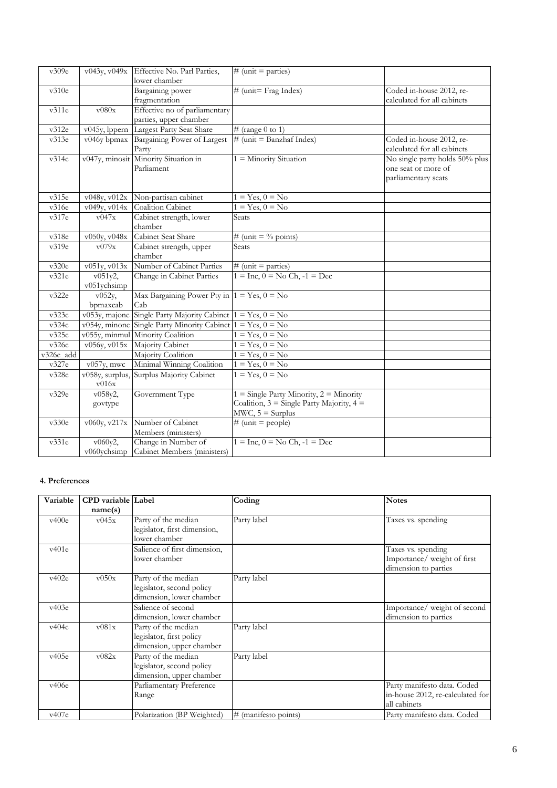| v309e     | v043y, v049x                                          | Effective No. Parl Parties,                                   | # (unit = parties)                                        |                                |
|-----------|-------------------------------------------------------|---------------------------------------------------------------|-----------------------------------------------------------|--------------------------------|
|           |                                                       | lower chamber                                                 |                                                           |                                |
| v310e     |                                                       | Bargaining power                                              | # (unit= Frag Index)                                      | Coded in-house 2012, re-       |
|           |                                                       | fragmentation                                                 |                                                           | calculated for all cabinets    |
| v311e     | v080x                                                 | Effective no of parliamentary                                 |                                                           |                                |
|           |                                                       | parties, upper chamber                                        |                                                           |                                |
| v312e     | v045y, lppern                                         | Largest Party Seat Share                                      | # (range 0 to 1)                                          |                                |
| v313e     | v046y bpmax                                           | Bargaining Power of Largest                                   | $\#$ (unit = Banzhaf Index)                               | Coded in-house 2012, re-       |
|           |                                                       | Party                                                         |                                                           | calculated for all cabinets    |
| v314e     |                                                       | v047y, minosit Minority Situation in                          | $1 =$ Minority Situation                                  | No single party holds 50% plus |
|           |                                                       | Parliament                                                    |                                                           | one seat or more of            |
|           |                                                       |                                                               |                                                           | parliamentary seats            |
|           |                                                       |                                                               |                                                           |                                |
| v315e     | $\overline{\text{v048y}}$ , $\overline{\text{v012x}}$ | Non-partisan cabinet                                          | $1 = Yes, 0 = No$                                         |                                |
| v316e     | v049y, v014x                                          | Coalition Cabinet                                             | $1 = Yes, 0 = No$                                         |                                |
| v317e     | v047x                                                 | Cabinet strength, lower                                       | Seats                                                     |                                |
|           |                                                       | chamber                                                       |                                                           |                                |
| v318e     | v050y, v048x                                          | Cabinet Seat Share                                            | # (unit = $\%$ points)                                    |                                |
| v319e     | v079x                                                 | Cabinet strength, upper                                       | Seats                                                     |                                |
|           |                                                       | chamber                                                       |                                                           |                                |
| v320e     | v051y, v013x                                          | Number of Cabinet Parties                                     | $#$ (unit = parties)                                      |                                |
| v321e     | $v051y2$ ,                                            | Change in Cabinet Parties                                     | $1 = \text{Inc}$ , $0 = \text{No Ch}$ , $-1 = \text{Dec}$ |                                |
|           | v051ychsimp                                           |                                                               |                                                           |                                |
| v322e     | v052y,                                                | Max Bargaining Power Pty in $1 = Yes, 0 = No$                 |                                                           |                                |
|           | bpmaxcab                                              | Cab                                                           |                                                           |                                |
| v323e     | v053y, majone                                         | Single Party Majority Cabinet $1 = Yes, 0 = No$               |                                                           |                                |
| v324e     |                                                       | v054y, minone Single Party Minority Cabinet $1 = Yes, 0 = No$ |                                                           |                                |
| v325e     |                                                       | v055y, minmul Minority Coalition                              | $1 = Yes, 0 = No$                                         |                                |
| v326e     | v056y, v015x                                          | Majority Cabinet                                              | $1 = Yes, 0 = No$                                         |                                |
| v326e_add |                                                       | Majority Coalition                                            | $1 = Yes, 0 = No$                                         |                                |
| v327e     | $v057y$ , mwc                                         | Minimal Winning Coalition                                     | $1 = Yes, 0 = No$                                         |                                |
| v328e     | v058y, surplus,                                       | Surplus Majority Cabinet                                      | $1 = Yes, 0 = No$                                         |                                |
|           | v016x                                                 |                                                               |                                                           |                                |
| v329e     | v058y2,                                               | Government Type                                               | $1 =$ Single Party Minority, $2 =$ Minority               |                                |
|           | govtype                                               |                                                               | Coalition, $3 =$ Single Party Majority, $4 =$             |                                |
|           |                                                       |                                                               | $MWC$ , $5 = Surplus$                                     |                                |
| v330e     | v060y, v217x                                          | Number of Cabinet                                             | # (unit = people)                                         |                                |
|           |                                                       | Members (ministers)                                           |                                                           |                                |
| v331e     | v060y2,                                               | Change in Number of                                           | $1 = \text{Inc}$ , $0 = \text{No Ch}$ , $-1 = \text{Dec}$ |                                |
|           | v060ychsimp                                           | Cabinet Members (ministers)                                   |                                                           |                                |

#### **4. Preferences**

| Variable | <b>CPD</b> variable Label |                              | Coding               | <b>Notes</b>                     |
|----------|---------------------------|------------------------------|----------------------|----------------------------------|
|          | name(s)                   |                              |                      |                                  |
| v400e    | v045x                     | Party of the median          | Party label          | Taxes vs. spending               |
|          |                           | legislator, first dimension, |                      |                                  |
|          |                           | lower chamber                |                      |                                  |
| v401e    |                           | Salience of first dimension, |                      | Taxes vs. spending               |
|          |                           | lower chamber                |                      | Importance/weight of first       |
|          |                           |                              |                      | dimension to parties             |
| v402e    | v050x                     | Party of the median          | Party label          |                                  |
|          |                           | legislator, second policy    |                      |                                  |
|          |                           | dimension, lower chamber     |                      |                                  |
| v403e    |                           | Salience of second           |                      | Importance/weight of second      |
|          |                           | dimension, lower chamber     |                      | dimension to parties             |
| v404e    | v081x                     | Party of the median          | Party label          |                                  |
|          |                           | legislator, first policy     |                      |                                  |
|          |                           | dimension, upper chamber     |                      |                                  |
| v405e    | v082x                     | Party of the median          | Party label          |                                  |
|          |                           | legislator, second policy    |                      |                                  |
|          |                           | dimension, upper chamber     |                      |                                  |
| v406e    |                           | Parliamentary Preference     |                      | Party manifesto data. Coded      |
|          |                           | Range                        |                      | in-house 2012, re-calculated for |
|          |                           |                              |                      | all cabinets                     |
| v407e    |                           | Polarization (BP Weighted)   | # (manifesto points) | Party manifesto data. Coded      |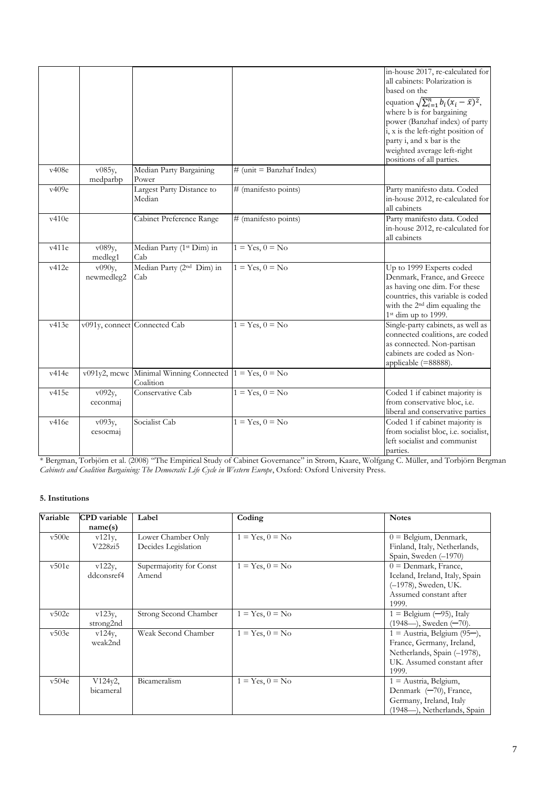|       |                    |                                                          |                            | in-house 2017, re-calculated for                                                      |
|-------|--------------------|----------------------------------------------------------|----------------------------|---------------------------------------------------------------------------------------|
|       |                    |                                                          |                            | all cabinets: Polarization is<br>based on the                                         |
|       |                    |                                                          |                            |                                                                                       |
|       |                    |                                                          |                            | equation $\sqrt{\sum_{i=1}^{n} b_i (x_i - \bar{x})^2}$ ,<br>where b is for bargaining |
|       |                    |                                                          |                            | power (Banzhaf index) of party                                                        |
|       |                    |                                                          |                            | i, x is the left-right position of                                                    |
|       |                    |                                                          |                            | party i, and x bar is the                                                             |
|       |                    |                                                          |                            | weighted average left-right                                                           |
|       |                    |                                                          |                            | positions of all parties.                                                             |
| v408e | v085y,<br>medparbp | Median Party Bargaining<br>Power                         | $#$ (unit = Banzhaf Index) |                                                                                       |
| v409e |                    | Largest Party Distance to                                | # (manifesto points)       | Party manifesto data. Coded                                                           |
|       |                    | Median                                                   |                            | in-house 2012, re-calculated for                                                      |
| v410e |                    |                                                          |                            | all cabinets                                                                          |
|       |                    | Cabinet Preference Range                                 | # (manifesto points)       | Party manifesto data. Coded<br>in-house 2012, re-calculated for                       |
|       |                    |                                                          |                            | all cabinets                                                                          |
| v411e | v089y,             | Median Party (1 <sup>st</sup> Dim) in                    | $1 = Yes, 0 = No$          |                                                                                       |
|       | medleg1            | Cab                                                      |                            |                                                                                       |
| v412e | v090y,             | Median Party (2 <sup>nd</sup> Dim) in                    | $1 = Yes, 0 = No$          | Up to 1999 Experts coded                                                              |
|       | newmedleg2         | Cab                                                      |                            | Denmark, France, and Greece                                                           |
|       |                    |                                                          |                            | as having one dim. For these<br>countries, this variable is coded                     |
|       |                    |                                                          |                            | with the 2 <sup>nd</sup> dim equaling the                                             |
|       |                    |                                                          |                            | 1st dim up to 1999.                                                                   |
| v413e |                    | v091y, connect Connected Cab                             | $1 = Yes, 0 = No$          | Single-party cabinets, as well as                                                     |
|       |                    |                                                          |                            | connected coalitions, are coded                                                       |
|       |                    |                                                          |                            | as connected. Non-partisan                                                            |
|       |                    |                                                          |                            | cabinets are coded as Non-<br>applicable (=88888).                                    |
| v414e |                    | v091y2, mcwc Minimal Winning Connected $1 = Yes, 0 = No$ |                            |                                                                                       |
|       |                    | Coalition                                                |                            |                                                                                       |
| v415e | v092y,             | Conservative Cab                                         | $1 = Yes, 0 = No$          | Coded 1 if cabinet majority is                                                        |
|       | ceconmaj           |                                                          |                            | from conservative bloc, i.e.                                                          |
|       |                    |                                                          |                            | liberal and conservative parties                                                      |
| v416e | v093y,             | Socialist Cab                                            | $1 = Yes, 0 = No$          | Coded 1 if cabinet majority is<br>from socialist bloc, i.e. socialist,                |
|       | cesocmaj           |                                                          |                            | left socialist and communist                                                          |
|       |                    |                                                          |                            | parties.                                                                              |
|       |                    |                                                          |                            |                                                                                       |

\* Bergman, Torbjörn et al. (2008) "The Empirical Study of Cabinet Governance" in Strøm, Kaare, Wolfgang C. Müller, and Torbjörn Bergman *Cabinets and Coalition Bargaining: The Democratic Life Cycle in Western Europe*, Oxford: Oxford University Press.

## **5. Institutions**

| Variable | <b>CPD</b> variable<br>name(s) | Label                                     | Coding            | <b>Notes</b>                                                                                                                     |
|----------|--------------------------------|-------------------------------------------|-------------------|----------------------------------------------------------------------------------------------------------------------------------|
| v500e    | $v121y$ ,<br>V228zi5           | Lower Chamber Only<br>Decides Legislation | $1 = Yes, 0 = No$ | $0 =$ Belgium, Denmark,<br>Finland, Italy, Netherlands,<br>Spain, Sweden (-1970)                                                 |
| v501e    | $v122y$ ,<br>ddconsref4        | Supermajority for Const<br>Amend          | $1 = Yes, 0 = No$ | $0 =$ Denmark, France,<br>Iceland, Ireland, Italy, Spain<br>(-1978), Sweden, UK.<br>Assumed constant after<br>1999.              |
| v502e    | $v123y$ ,<br>strong2nd         | Strong Second Chamber                     | $1 = Yes, 0 = No$ | $1 =$ Belgium $(-95)$ , Italy<br>$(1948)$ , Sweden $(-70)$ .                                                                     |
| v503e    | $v124y$ ,<br>weak2nd           | Weak Second Chamber                       | $1 = Yes, 0 = No$ | $1 =$ Austria, Belgium (95–),<br>France, Germany, Ireland,<br>Netherlands, Spain (-1978),<br>UK. Assumed constant after<br>1999. |
| v504e    | $V124v2$ ,<br>bicameral        | Bicameralism                              | $1 = Yes, 0 = No$ | $1 =$ Austria, Belgium,<br>Denmark (-70), France,<br>Germany, Ireland, Italy<br>(1948-), Netherlands, Spain                      |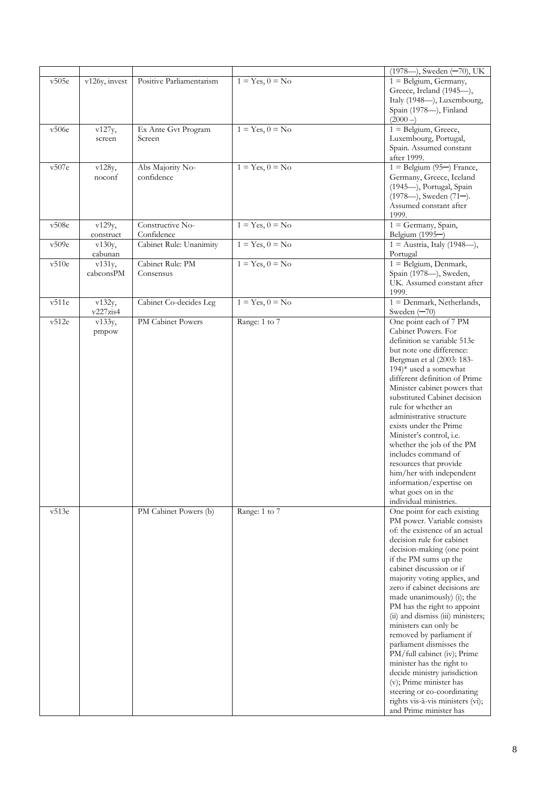|       |                     |                                |                   | (1978---), Sweden (-70), UK                                                                                                                                                                                                                                                                                                                                                                                                                                                                                                                                                                                                                                                          |
|-------|---------------------|--------------------------------|-------------------|--------------------------------------------------------------------------------------------------------------------------------------------------------------------------------------------------------------------------------------------------------------------------------------------------------------------------------------------------------------------------------------------------------------------------------------------------------------------------------------------------------------------------------------------------------------------------------------------------------------------------------------------------------------------------------------|
| v505e | v126y, invest       | Positive Parliamentarism       | $1 = Yes, 0 = No$ | $1 =$ Belgium, Germany,<br>Greece, Ireland (1945-),<br>Italy (1948-), Luxembourg,                                                                                                                                                                                                                                                                                                                                                                                                                                                                                                                                                                                                    |
|       |                     |                                |                   | Spain (1978-), Finland<br>$(2000 - )$                                                                                                                                                                                                                                                                                                                                                                                                                                                                                                                                                                                                                                                |
| v506e | v127y,<br>screen    | Ex Ante Gvt Program<br>Screen  | $1 = Yes, 0 = No$ | $1 =$ Belgium, Greece,<br>Luxembourg, Portugal,                                                                                                                                                                                                                                                                                                                                                                                                                                                                                                                                                                                                                                      |
|       |                     |                                |                   | Spain. Assumed constant<br>after 1999.                                                                                                                                                                                                                                                                                                                                                                                                                                                                                                                                                                                                                                               |
| v507e | v128y,<br>noconf    | Abs Majority No-<br>confidence | $1 = Yes, 0 = No$ | $1 =$ Belgium (95–) France,<br>Germany, Greece, Iceland<br>(1945-), Portugal, Spain<br>(1978-), Sweden (71-).                                                                                                                                                                                                                                                                                                                                                                                                                                                                                                                                                                        |
|       |                     |                                |                   | Assumed constant after<br>1999.                                                                                                                                                                                                                                                                                                                                                                                                                                                                                                                                                                                                                                                      |
| v508e | v129y,<br>construct | Constructive No-<br>Confidence | $1 = Yes, 0 = No$ | $1 =$ Germany, Spain,<br>Belgium (1995-)                                                                                                                                                                                                                                                                                                                                                                                                                                                                                                                                                                                                                                             |
| v509e | v130y,<br>cabunan   | Cabinet Rule: Unanimity        | $1 = Yes, 0 = No$ | $1 =$ Austria, Italy (1948--),<br>Portugal                                                                                                                                                                                                                                                                                                                                                                                                                                                                                                                                                                                                                                           |
| v510e | v131y,<br>cabconsPM | Cabinet Rule: PM<br>Consensus  | $1 = Yes, 0 = No$ | 1 = Belgium, Denmark,<br>Spain (1978-), Sweden,<br>UK. Assumed constant after<br>1999.                                                                                                                                                                                                                                                                                                                                                                                                                                                                                                                                                                                               |
| v511e | v132y,<br>v227zis4  | Cabinet Co-decides Leg         | $1 = Yes, 0 = No$ | $1 = Denmark$ , Netherlands,<br>Sweden $(-70)$                                                                                                                                                                                                                                                                                                                                                                                                                                                                                                                                                                                                                                       |
| v512e | v133y,<br>pmpow     | PM Cabinet Powers              | Range: 1 to 7     | One point each of 7 PM<br>Cabinet Powers. For<br>definition se variable 513e<br>but note one difference:<br>Bergman et al (2003: 183-<br>$194$ <sup>*</sup> used a somewhat<br>different definition of Prime<br>Minister cabinet powers that<br>substituted Cabinet decision<br>rule for whether an<br>administrative structure<br>exists under the Prime<br>Minister's control, i.e.<br>whether the job of the PM<br>includes command of<br>resources that provide<br>him/her with independent<br>information/expertise on<br>what goes on in the<br>individual ministries.                                                                                                         |
| v513e |                     | PM Cabinet Powers (b)          | Range: 1 to 7     | One point for each existing<br>PM power. Variable consists<br>of: the existence of an actual<br>decision rule for cabinet<br>decision-making (one point<br>if the PM sums up the<br>cabinet discussion or if<br>majority voting applies, and<br>zero if cabinet decisions are<br>made unanimously) (i); the<br>PM has the right to appoint<br>(ii) and dismiss (iii) ministers;<br>ministers can only be<br>removed by parliament if<br>parliament dismisses the<br>PM/full cabinet (iv); Prime<br>minister has the right to<br>decide ministry jurisdiction<br>(v); Prime minister has<br>steering or co-coordinating<br>rights vis-à-vis ministers (vi);<br>and Prime minister has |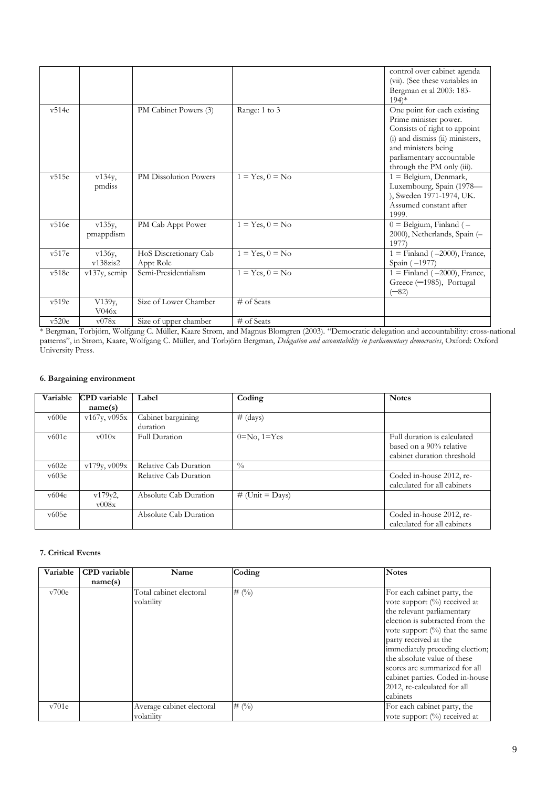|       |                 |                                   |                   | control over cabinet agenda<br>(vii). (See these variables in |
|-------|-----------------|-----------------------------------|-------------------|---------------------------------------------------------------|
|       |                 |                                   |                   | Bergman et al 2003: 183-                                      |
|       |                 |                                   |                   | $194$ <sup>*</sup>                                            |
| v514e |                 | PM Cabinet Powers (3)             |                   | One point for each existing                                   |
|       |                 |                                   | Range: 1 to 3     |                                                               |
|       |                 |                                   |                   | Prime minister power.<br>Consists of right to appoint         |
|       |                 |                                   |                   | (i) and dismiss (ii) ministers,                               |
|       |                 |                                   |                   |                                                               |
|       |                 |                                   |                   | and ministers being                                           |
|       |                 |                                   |                   | parliamentary accountable<br>through the PM only (iii).       |
| v515e |                 | PM Dissolution Powers             | $1 = Yes, 0 = No$ | $1 =$ Belgium, Denmark,                                       |
|       | v134y,          |                                   |                   |                                                               |
|       | pmdiss          |                                   |                   | Luxembourg, Spain (1978-<br>), Sweden 1971-1974, UK.          |
|       |                 |                                   |                   | Assumed constant after                                        |
|       |                 |                                   |                   | 1999.                                                         |
| v516e | $v135y$ ,       | PM Cab Appt Power                 | $1 = Yes, 0 = No$ | $0 =$ Belgium, Finland ( $-$                                  |
|       |                 |                                   |                   | 2000), Netherlands, Spain (-                                  |
|       | pmappdism       |                                   |                   | 1977                                                          |
| v517e | $v136y$ ,       |                                   | $1 = Yes, 0 = No$ |                                                               |
|       | $v138z$ is2     | HoS Discretionary Cab             |                   | $1 =$ Finland ( $-2000$ ), France,<br>Spain $(-1977)$         |
| v518e |                 | Appt Role<br>Semi-Presidentialism | $1 = Yes, 0 = No$ | $1 =$ Finland ( $-2000$ ), France,                            |
|       | $v137y$ , semip |                                   |                   |                                                               |
|       |                 |                                   |                   | Greece (-1985), Portugal<br>(—82)                             |
| v519e |                 | Size of Lower Chamber             | # of Seats        |                                                               |
|       | V139y,<br>V046x |                                   |                   |                                                               |
|       |                 |                                   |                   |                                                               |
| v520e | v078x           | Size of upper chamber             | $#$ of Seats      |                                                               |

\* Bergman, Torbjörn, Wolfgang C. Müller, Kaare Strøm, and Magnus Blomgren (2003). "Democratic delegation and accountability: cross-national patterns", in Strøm, Kaare, Wolfgang C. Müller, and Torbjörn Bergman, *Delegation and accountability in parliamentary democracies*, Oxford: Oxford University Press.

# **6. Bargaining environment**

| Variable | <b>CPD</b> variable    | Label                          | Coding                    | <b>Notes</b>                                                                         |
|----------|------------------------|--------------------------------|---------------------------|--------------------------------------------------------------------------------------|
|          | name(s)                |                                |                           |                                                                                      |
| v600e    | v167y, v095x           | Cabinet bargaining<br>duration | # (days)                  |                                                                                      |
| v601e    | $\rm v010x$            | Full Duration                  | $0=N0$ , $1=Yes$          | Full duration is calculated<br>based on a 90% relative<br>cabinet duration threshold |
| v602e    | v179y, v009x           | Relative Cab Duration          | $\frac{0}{0}$             |                                                                                      |
| v603e    |                        | Relative Cab Duration          |                           | Coded in-house 2012, re-<br>calculated for all cabinets                              |
| v604e    | v179y2,<br>$\rm v008x$ | Absolute Cab Duration          | # (Unit = $\text{Days}$ ) |                                                                                      |
| v605e    |                        | Absolute Cab Duration          |                           | Coded in-house 2012, re-<br>calculated for all cabinets                              |

#### **7. Critical Events**

| Variable | <b>CPD</b> variable | Name                      | Coding         | <b>Notes</b>                      |
|----------|---------------------|---------------------------|----------------|-----------------------------------|
|          | name(s)             |                           |                |                                   |
| v700e    |                     | Total cabinet electoral   | # $(\%)$       | For each cabinet party, the       |
|          |                     | volatility                |                | vote support (%) received at      |
|          |                     |                           |                | the relevant parliamentary        |
|          |                     |                           |                | election is subtracted from the   |
|          |                     |                           |                | vote support $(\%)$ that the same |
|          |                     |                           |                | party received at the             |
|          |                     |                           |                | immediately preceding election;   |
|          |                     |                           |                | the absolute value of these       |
|          |                     |                           |                | scores are summarized for all     |
|          |                     |                           |                | cabinet parties. Coded in-house   |
|          |                     |                           |                | 2012, re-calculated for all       |
|          |                     |                           |                | cabinets                          |
| v701e    |                     | Average cabinet electoral | # $(^{0}_{0})$ | For each cabinet party, the       |
|          |                     | volatility                |                | vote support $(\%)$ received at   |